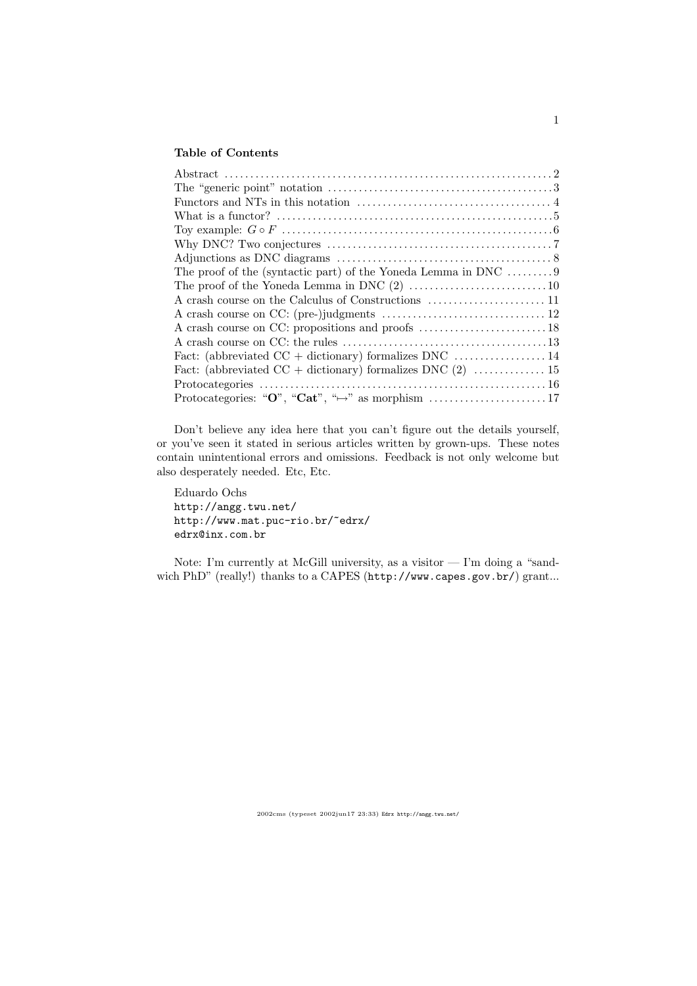## Table of Contents

| The proof of the (syntactic part) of the Yoneda Lemma in DNC $\dots\dots\dots9$ |  |
|---------------------------------------------------------------------------------|--|
|                                                                                 |  |
|                                                                                 |  |
|                                                                                 |  |
|                                                                                 |  |
|                                                                                 |  |
|                                                                                 |  |
|                                                                                 |  |
|                                                                                 |  |
|                                                                                 |  |
|                                                                                 |  |

Don't believe any idea here that you can't figure out the details yourself, or you've seen it stated in serious articles written by grown-ups. These notes contain unintentional errors and omissions. Feedback is not only welcome but also desperately needed. Etc, Etc.

Eduardo Ochs http://angg.twu.net/ http://www.mat.puc-rio.br/~edrx/ edrx@inx.com.br

Note: I'm currently at McGill university, as a visitor — I'm doing a "sandwich PhD" (really!) thanks to a CAPES (http://www.capes.gov.br/) grant...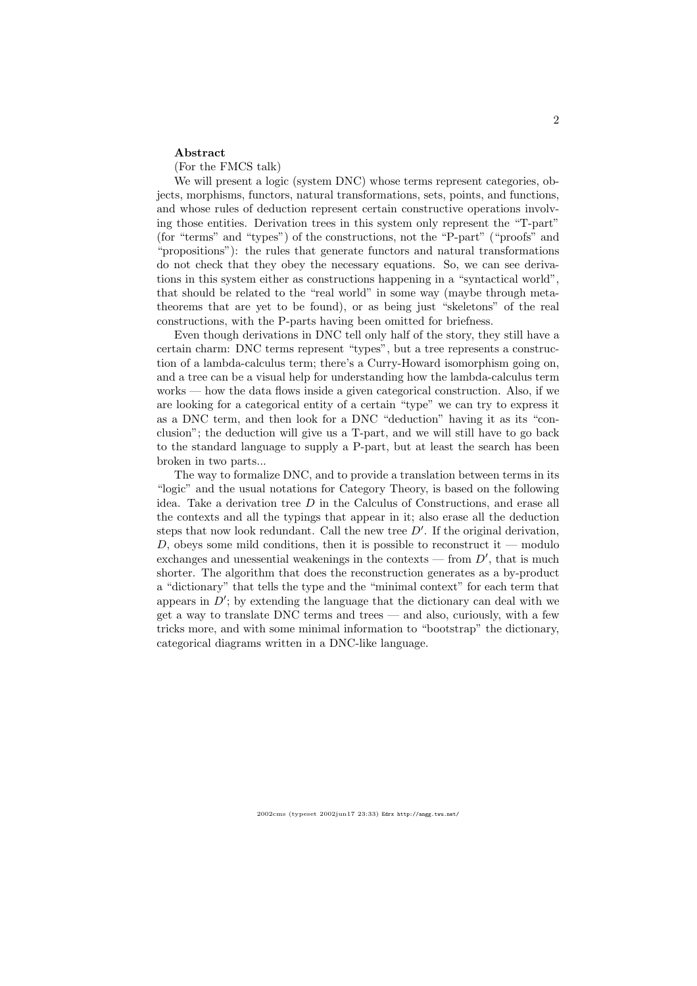#### Abstract

(For the FMCS talk)

We will present a logic (system DNC) whose terms represent categories, objects, morphisms, functors, natural transformations, sets, points, and functions, and whose rules of deduction represent certain constructive operations involving those entities. Derivation trees in this system only represent the "T-part" (for "terms" and "types") of the constructions, not the "P-part" ("proofs" and "propositions"): the rules that generate functors and natural transformations do not check that they obey the necessary equations. So, we can see derivations in this system either as constructions happening in a "syntactical world", that should be related to the "real world" in some way (maybe through metatheorems that are yet to be found), or as being just "skeletons" of the real constructions, with the P-parts having been omitted for briefness.

Even though derivations in DNC tell only half of the story, they still have a certain charm: DNC terms represent "types", but a tree represents a construction of a lambda-calculus term; there's a Curry-Howard isomorphism going on, and a tree can be a visual help for understanding how the lambda-calculus term works — how the data flows inside a given categorical construction. Also, if we are looking for a categorical entity of a certain "type" we can try to express it as a DNC term, and then look for a DNC "deduction" having it as its "conclusion"; the deduction will give us a T-part, and we will still have to go back to the standard language to supply a P-part, but at least the search has been broken in two parts...

The way to formalize DNC, and to provide a translation between terms in its "logic" and the usual notations for Category Theory, is based on the following idea. Take a derivation tree  $D$  in the Calculus of Constructions, and erase all the contexts and all the typings that appear in it; also erase all the deduction steps that now look redundant. Call the new tree  $D'$ . If the original derivation, D, obeys some mild conditions, then it is possible to reconstruct it — modulo exchanges and unessential weakenings in the contexts — from  $D'$ , that is much shorter. The algorithm that does the reconstruction generates as a by-product a "dictionary" that tells the type and the "minimal context" for each term that appears in  $\dot{D}'$ ; by extending the language that the dictionary can deal with we get a way to translate DNC terms and trees — and also, curiously, with a few tricks more, and with some minimal information to "bootstrap" the dictionary, categorical diagrams written in a DNC-like language.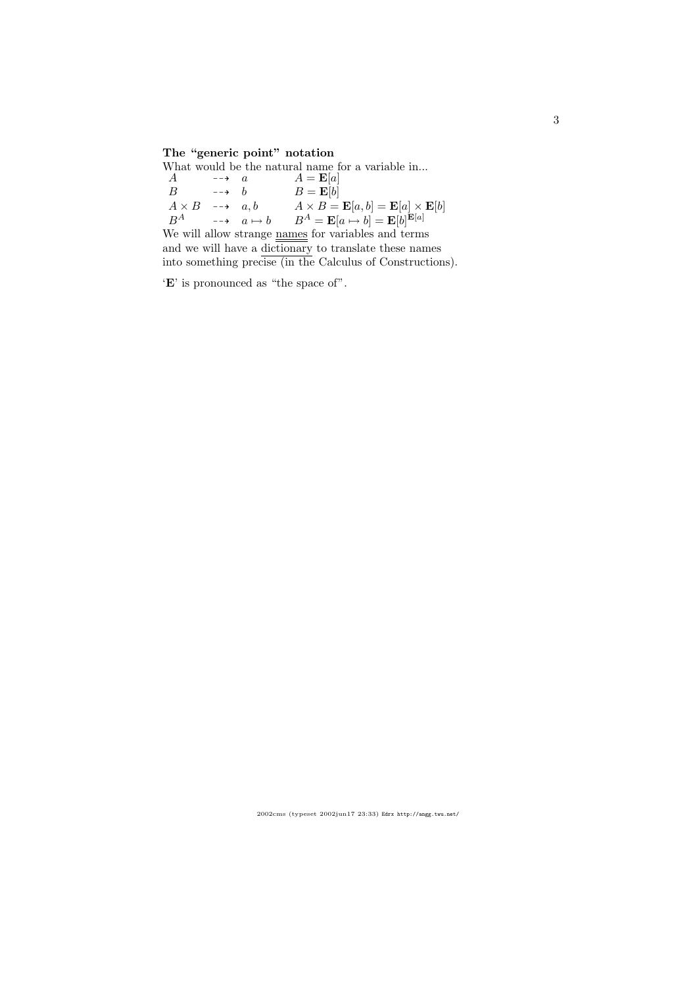# The "generic point" notation

|                                                            |                      |  | What would be the natural name for a variable in                                             |  |
|------------------------------------------------------------|----------------------|--|----------------------------------------------------------------------------------------------|--|
| $\overline{A}$                                             | $\overrightarrow{a}$ |  | $A = \mathbf{E}[a]$                                                                          |  |
| B                                                          | $\rightarrow$ h      |  | $B = \mathbf{E}[b]$                                                                          |  |
| $A \times B \longrightarrow a, b$                          |                      |  | $A \times B = \mathbf{E}[a, b] = \mathbf{E}[a] \times \mathbf{E}[b]$                         |  |
|                                                            |                      |  | $B^A$ $\longrightarrow$ $a \mapsto b$ $B^A = \mathbf{E}[a \mapsto b] = \mathbf{E}[b]^{E[a]}$ |  |
| We will allow strange names for variables and terms        |                      |  |                                                                                              |  |
| and we will have a dictionary to translate these names     |                      |  |                                                                                              |  |
| into something precise (in the Calculus of Constructions). |                      |  |                                                                                              |  |
|                                                            |                      |  |                                                                                              |  |

 $\lq\mathbf{E}'$  is pronounced as "the space of".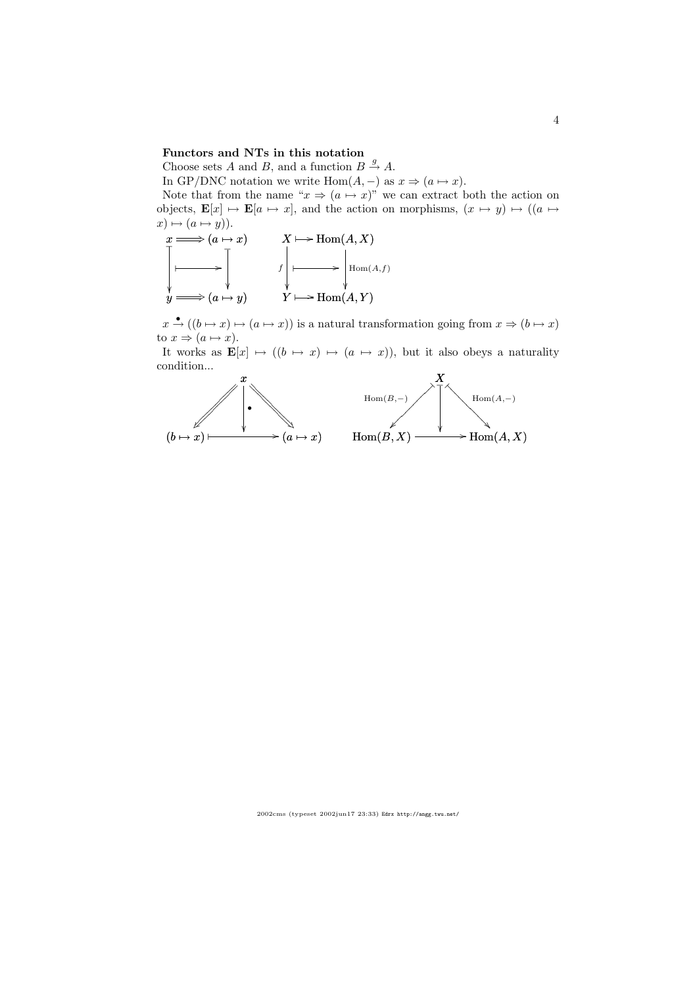#### Functors and NTs in this notation

Choose sets A and B, and a function  $B \stackrel{g}{\rightarrow} A$ .

In GP/DNC notation we write Hom $(A, -)$  as  $x \Rightarrow (a \mapsto x)$ .

Note that from the name " $x \Rightarrow (a \mapsto x)$ " we can extract both the action on objects,  $\mathbf{E}[x] \mapsto \mathbf{E}[a \mapsto x]$ , and the action on morphisms,  $(x \mapsto y) \mapsto ((a \mapsto y) \mapsto y)$  $x) \mapsto (a \mapsto y).$ 



 $x \stackrel{\bullet}{\rightarrow} ((b \mapsto x) \mapsto (a \mapsto x))$  is a natural transformation going from  $x \Rightarrow (b \mapsto x)$ to  $x \Rightarrow (a \mapsto x)$ .

It works as  $\mathbf{E}[x] \mapsto ((b \mapsto x) \mapsto (a \mapsto x))$ , but it also obeys a naturality condition...

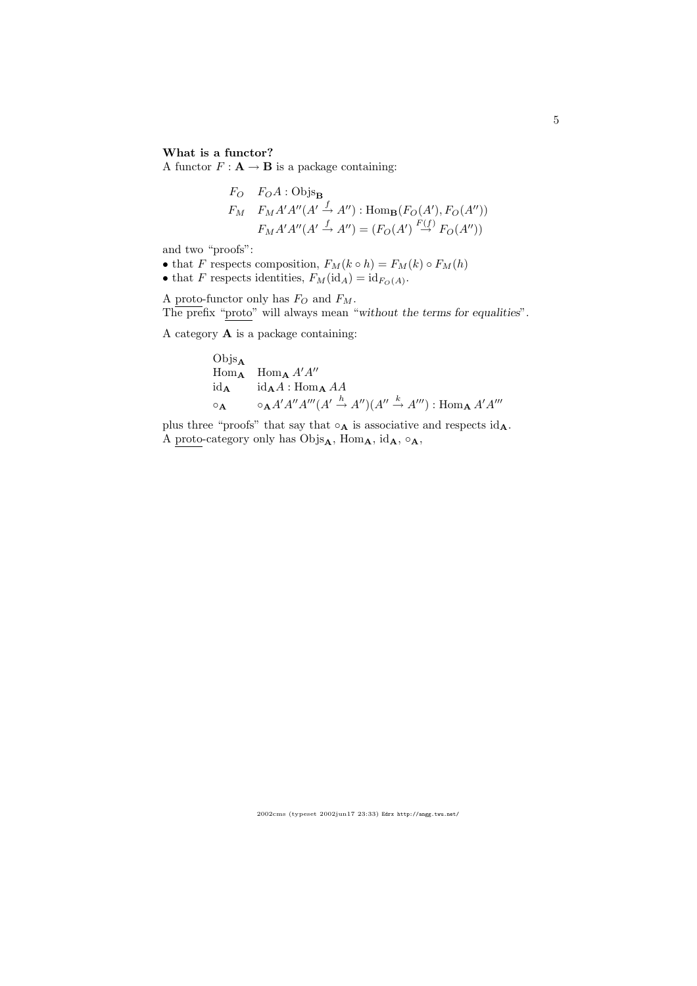## What is a functor?

A functor  $F: \mathbf{A} \to \mathbf{B}$  is a package containing:

$$
F_O \quad F_O A : \text{Objs}_{\mathbf{B}}
$$
\n
$$
F_M \quad F_M A' A'' (A' \xrightarrow{f} A'') : \text{Hom}_{\mathbf{B}}(F_O(A'), F_O(A''))
$$
\n
$$
F_M A' A'' (A' \xrightarrow{f} A'') = (F_O(A') \xrightarrow{F(f)} F_O(A''))
$$

and two "proofs":

• that F respects composition,  $F_M(k \circ h) = F_M(k) \circ F_M(h)$ 

• that F respects identities,  $F_M(\mathrm{id}_A) = \mathrm{id}_{F_O(A)}$ .

A proto-functor only has  $F_O$  and  $F_M$ . The prefix "proto" will always mean "without the terms for equalities".

A category A is a package containing:

Objs<sub>A</sub>  
\nHom<sub>A</sub> 
$$
\lim_{A} A'A''
$$
  
\nid<sub>A</sub>  $\text{id}_A A : \text{Hom}_A AA$   
\n $\circ_A \qquad \circ_A A'A''A'''(A' \xrightarrow{h} A'')(A'' \xrightarrow{k} A''') : \text{Hom}_A A'A'''$ 

plus three "proofs" that say that  $\circ_{\mathbf{A}}$  is associative and respects  $id_{\mathbf{A}}$ . A proto-category only has  $\mathrm{Objs}_{\mathbf{A}},$  Hom $_{\mathbf{A}},$  id $_{\mathbf{A}}, \circ_{\mathbf{A}},$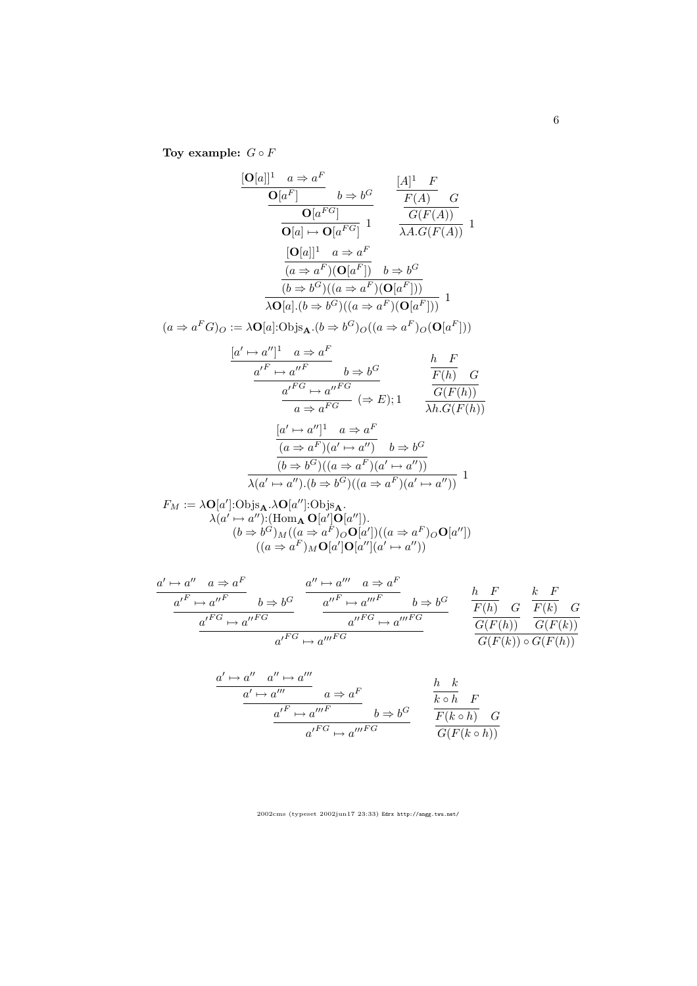Toy example:  $G \circ F$ 

$$
\frac{[\mathbf{O}[a]]^1 \quad a \Rightarrow a^F}{\mathbf{O}[a^F]} \quad b \Rightarrow b^G \qquad \frac{[A]^1 \quad F}{F(A)} \quad G}{\mathbf{O}[a] \mapsto \mathbf{O}[a^{FG}] \quad 1} \qquad \frac{G(F(A))}{\lambda A.G(F(A))} \quad 1
$$
\n
$$
\frac{[\mathbf{O}[a]]^1 \quad a \Rightarrow a^F}{(a \Rightarrow a^F)(\mathbf{O}[a^F])} \quad b \Rightarrow b^G}{\frac{(b \Rightarrow b^G)((a \Rightarrow a^F)(\mathbf{O}[a^F]))}{\lambda \mathbf{O}[a] \cdot (b \Rightarrow b^G)((a \Rightarrow a^F)(\mathbf{O}[a^F]))} \quad 1
$$
\n
$$
(a \Rightarrow a^F G)_O := \lambda \mathbf{O}[a] : \text{Obj}_{\mathbf{A}} \cdot (b \Rightarrow b^G)_O((a \Rightarrow a^F)_O(\mathbf{O}[a^F]))
$$
\n
$$
\frac{[a' \mapsto a'']^1 \quad a \Rightarrow a^F}{\sqrt{F} \cdot \sqrt{B}} \qquad b \Rightarrow b^G \quad b^G \cdot \frac{b \quad F}{\sqrt{B}}
$$

$$
\frac{a'^F \mapsto a''^F \qquad b \Rightarrow b^G}{a^F \qquad a''^F \qquad b \Rightarrow b^G \qquad F(h) \qquad G}{a \Rightarrow a^F \qquad ( \Rightarrow E); 1 \qquad \frac{G(F(h))}{\lambda h.G(F(h))}}
$$

$$
\frac{[a' \mapsto a'']^1 \quad a \Rightarrow a^F}{(a \Rightarrow a^F)(a' \mapsto a'')} \quad b \Rightarrow b^G
$$

$$
\frac{(b \Rightarrow b^G)((a \Rightarrow a^F)(a' \mapsto a''))}{\lambda(a' \mapsto a'').(b \Rightarrow b^G)((a \Rightarrow a^F)(a' \mapsto a''))} \quad 1
$$

$$
F_M := \lambda \mathbf{O}[a'] : \text{Objs}_{\mathbf{A}} \cdot \lambda \mathbf{O}[a''] : \text{Objs}_{\mathbf{A}}.
$$
  
\n
$$
\lambda(a' \mapsto a'') : (\text{Hom}_{\mathbf{A}} \mathbf{O}[a'] \mathbf{O}[a'']).
$$
  
\n
$$
(b \Rightarrow b^G)_M((a \Rightarrow a^F)_O \mathbf{O}[a'])( (a \Rightarrow a^F)_O \mathbf{O}[a''])
$$
  
\n
$$
((a \Rightarrow a^F)_M \mathbf{O}[a'] \mathbf{O}[a''] (a' \mapsto a''))
$$

$$
\frac{a' \mapsto a'' \quad a \Rightarrow a^F}{a'^F \mapsto a''^F} \quad b \Rightarrow b^G \quad \frac{a'' \mapsto a'' \quad a \Rightarrow a^F}{a''^F \mapsto a''^F} \quad b \Rightarrow b^G \quad \frac{h \quad F}{F(h)} \quad G \quad \frac{k \quad F}{F(k)} \quad G}{a'^F G \mapsto a''^F G} \quad \frac{a''^F \mapsto a''^F}{a'^F G \mapsto a''^F G} \quad \frac{h \quad F}{F(h)} \quad G \quad \frac{k \quad F}{F(k)} \quad G}{G(F(k)) \circ G(F(k))}
$$

$$
\frac{a' \mapsto a'' \quad a'' \mapsto a'''}{a' \mapsto a'''} \quad a \Rightarrow a^F
$$
\n
$$
\frac{a' \mapsto a'''}{a' \mapsto a'''} \quad b \Rightarrow b^G
$$
\n
$$
\frac{h \quad k}{k \circ h} \quad F
$$
\n
$$
\frac{a'}{a'} \mapsto a'' \stackrel{F}{\mapsto} a'' \stackrel{h \to k}{\longrightarrow} \frac{b \Rightarrow b^G}{\frac{F(k \circ h)}{G(F(k \circ h))}} \quad G
$$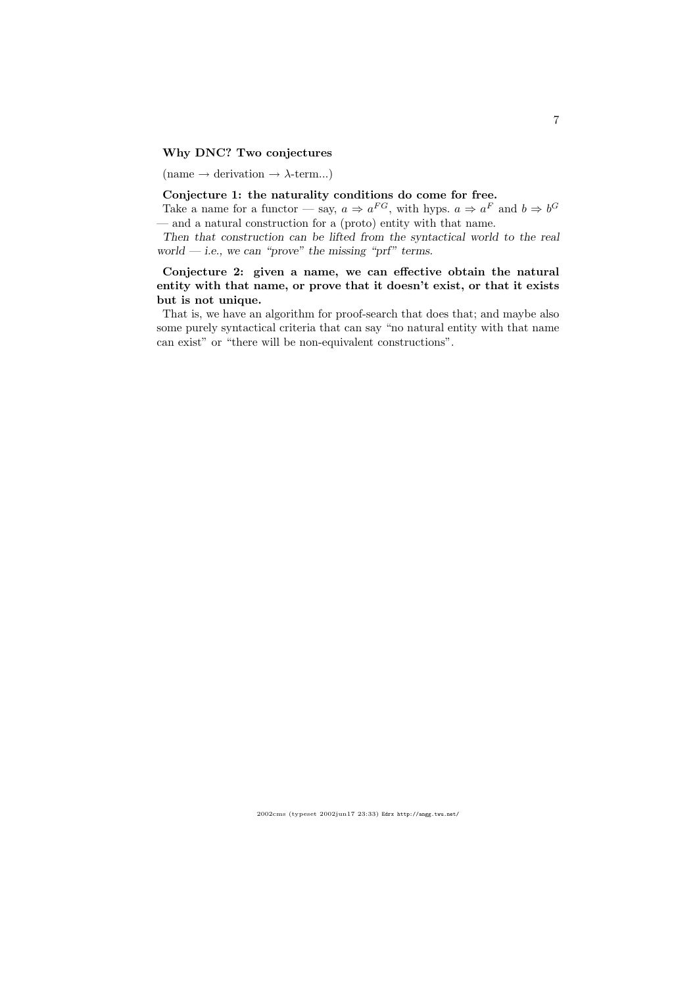## Why DNC? Two conjectures

(name  $\rightarrow$  derivation  $\rightarrow$   $\lambda$ -term...)

## Conjecture 1: the naturality conditions do come for free.

Take a name for a functor — say,  $a \Rightarrow a^{FG}$ , with hyps.  $a \Rightarrow a^F$  and  $b \Rightarrow b^G$ — and a natural construction for a (proto) entity with that name.

Then that construction can be lifted from the syntactical world to the real world — i.e., we can "prove" the missing "prf" terms.

## Conjecture 2: given a name, we can effective obtain the natural entity with that name, or prove that it doesn't exist, or that it exists but is not unique.

That is, we have an algorithm for proof-search that does that; and maybe also some purely syntactical criteria that can say "no natural entity with that name can exist" or "there will be non-equivalent constructions".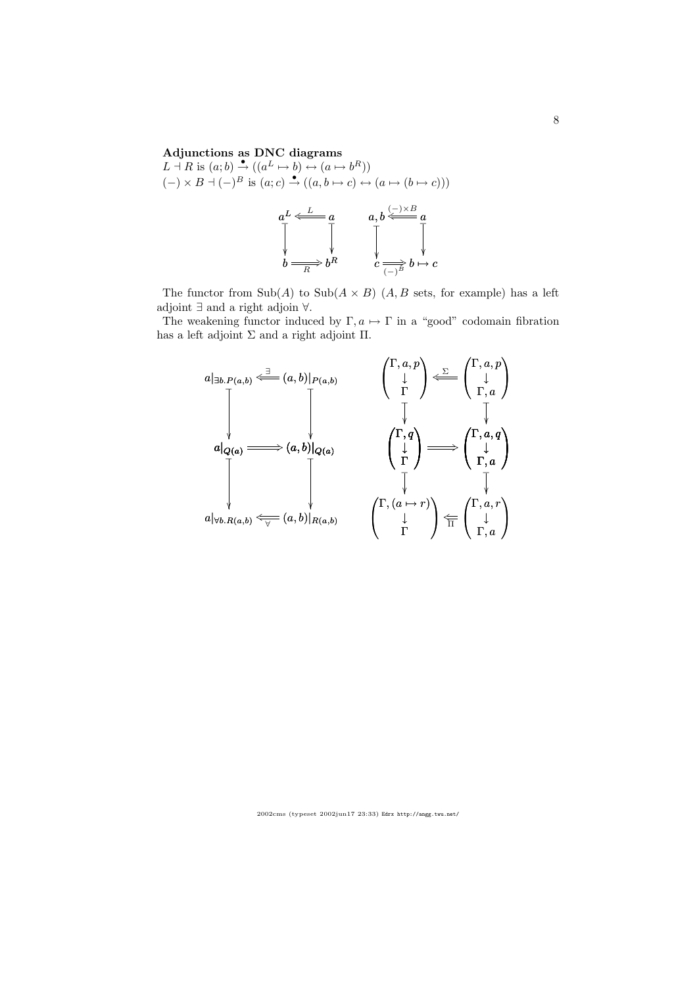#### Adjunctions as DNC diagrams

 $L \dashv R$  is  $(a;b) \stackrel{\bullet}{\to} ((a^L \mapsto b) \leftrightarrow (a \mapsto b^R))$  $(-) \times B \dashv (-)^B$  is  $(a; c) \stackrel{\bullet}{\to} ((a, b \mapsto c) \leftrightarrow (a \mapsto (b \mapsto c)))$ 

$$
aL \leftarrow \frac{L}{\sqrt{a}} a
$$
\n
$$
b \xrightarrow{\sqrt{a}} bR \qquad \qquad a, b \xleftarrow{\leftarrow} a
$$
\n
$$
c \xrightarrow{\sqrt{a}} b \mapsto c
$$

The functor from  $\text{Sub}(A)$  to  $\text{Sub}(A \times B)$   $(A, B$  sets, for example) has a left adjoint ∃ and a right adjoin ∀.

The weakening functor induced by  $\Gamma, a \mapsto \Gamma$  in a "good" codomain fibration has a left adjoint  $\Sigma$  and a right adjoint  $\Pi$ .

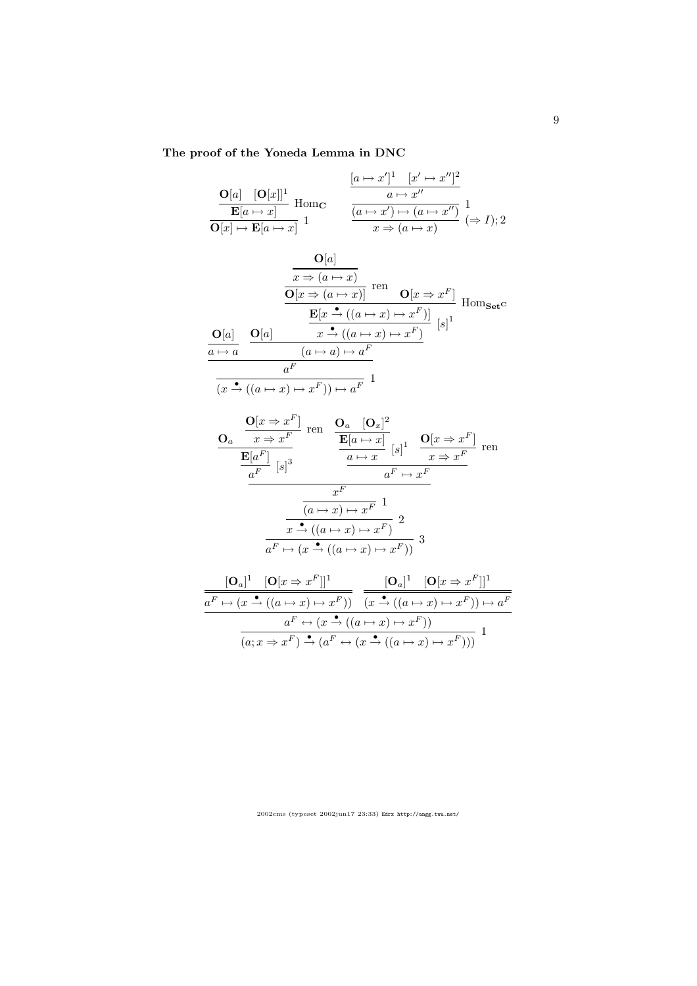## The proof of the Yoneda Lemma in DNC

$$
\frac{\mathbf{O}[a] \quad [\mathbf{O}[x]]^1}{\mathbf{E}[a \mapsto x]} \text{ Hom}_{\mathbf{C}} \qquad \frac{\frac{[a \mapsto x']^1 \quad [x' \mapsto x'']^2}{a \mapsto x''}}{\frac{a \mapsto x''}{\frac{(a \mapsto x') \mapsto (a \mapsto x'')}{x \mapsto (a \mapsto x)}}} \frac{1}{(\Rightarrow I); 2}
$$

$$
\frac{\mathbf{O}[a]}{\mathbf{O}[x \Rightarrow (a \mapsto x)]} \text{ ren } \frac{\overline{\mathbf{O}[x \Rightarrow (a \mapsto x)]}}{\mathbf{O}[x \Rightarrow (a \mapsto x)]} \text{ ren } \mathbf{O}[x \Rightarrow x^F] \text{ Hom}_{\mathbf{Set}^{\mathbf{C}}}
$$

$$
\frac{\mathbf{O}[a]}{\mathbf{O}[a]} \quad \frac{\mathbf{O}[a]}{\mathbf{O}[x \Rightarrow (a \mapsto x) \mapsto x^F]} \quad [s]^1
$$

$$
\frac{a \mapsto a}{a^F}
$$

$$
\frac{a}{(x \xrightarrow{\bullet} ((a \mapsto x) \mapsto x^F)) \mapsto a^F} 1
$$

$$
\frac{\mathbf{O}_{a} \quad \frac{\mathbf{O}[x \Rightarrow x^{F}]}{x \Rightarrow x^{F}} \text{ ren } \quad \frac{\mathbf{O}_{a} \quad [\mathbf{O}_{x}]^{2}}{\mathbf{E}[a \mapsto x]} \quad [s]^{1} \quad \frac{\mathbf{O}[x \Rightarrow x^{F}]}{x \Rightarrow x^{F}} \text{ ren } \frac{\mathbf{E}[a^{F}]}{a^{F}} \quad [s]^{3} \quad \frac{a \mapsto x}{a^{F} \mapsto x^{F}} \quad \frac{x^{F}}{(a \mapsto x) \mapsto x^{F} \quad 1} \quad \frac{x^{F}}{(a \mapsto x) \mapsto x^{F} \quad 2} \quad \frac{x^{A} \cdot ((a \mapsto x) \mapsto x^{F})}{a^{F} \mapsto (x \stackrel{\bullet}{\rightarrow} ((a \mapsto x) \mapsto x^{F}))} \quad 3
$$

$$
\frac{[\mathbf{O}_a]^1 \quad [\mathbf{O}[x \Rightarrow x^F]]^1}{a^F \mapsto (x \xrightarrow{\bullet} ((a \mapsto x) \mapsto x^F))} \quad \frac{[\mathbf{O}_a]^1 \quad [\mathbf{O}[x \Rightarrow x^F]]^1}{(x \xrightarrow{\bullet} ((a \mapsto x) \mapsto x^F)) \mapsto a^F}
$$
\n
$$
\frac{a^F \leftrightarrow (x \xrightarrow{\bullet} ((a \mapsto x) \mapsto x^F))}{(a; x \Rightarrow x^F) \xrightarrow{\bullet} (a^F \leftrightarrow (x \xrightarrow{\bullet} ((a \mapsto x) \mapsto x^F)))} \quad 1
$$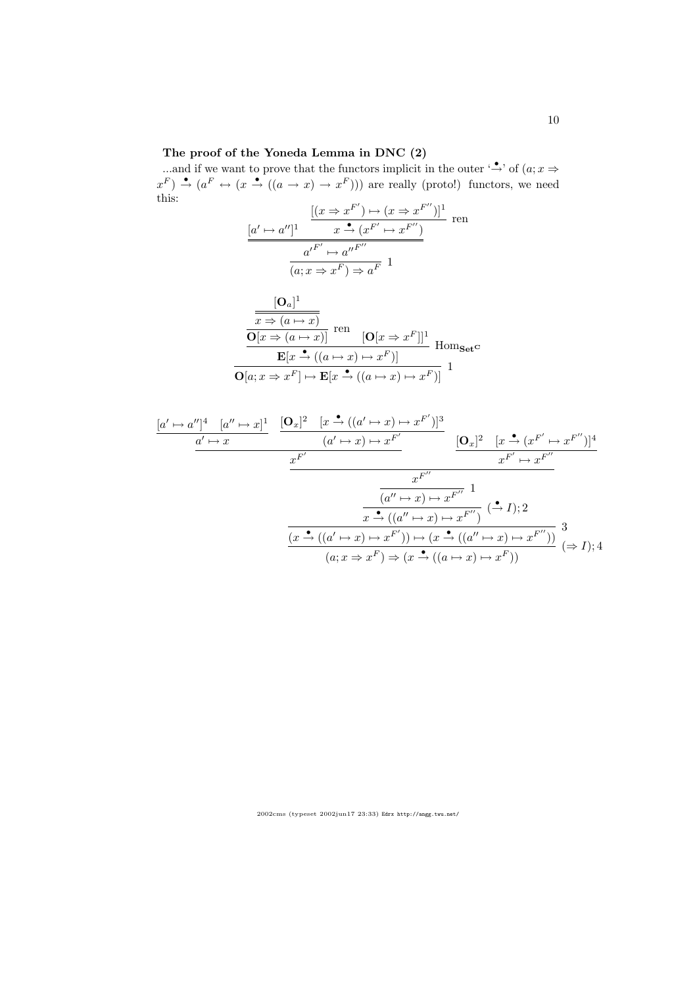#### The proof of the Yoneda Lemma in DNC (2)

...and if we want to prove that the functors implicit in the outer '→' of  $(a; x \Rightarrow$  $x^F$ )  $\stackrel{\bullet}{\rightarrow}$   $(a^F \leftrightarrow (x \stackrel{\bullet}{\rightarrow} ((a \rightarrow x) \rightarrow x^F)))$  are really (proto!) functors, we need this:

$$
\frac{[(x \Rightarrow x^{F'}) \mapsto (x \Rightarrow x^{F''})]^1}{x \xrightarrow{\bullet} (x^{F'} \mapsto x^{F''})}
$$
ren
$$
\frac{a'^{F'} \mapsto a''^{F''}}{(a; x \Rightarrow x^F) \Rightarrow a^F} 1
$$

$$
\frac{[\mathbf{O}_a]^1}{\mathbf{O}[x \Rightarrow (a \mapsto x)]} \text{ ren } \frac{\mathbf{O}[x \Rightarrow (a \mapsto x)]}{[\mathbf{O}[x \Rightarrow (a \mapsto x)]} \text{ Hom}_{\mathbf{Set}} \mathbf{C}
$$

$$
\frac{\mathbf{E}[x \stackrel{\bullet}{\rightarrow} ((a \mapsto x) \mapsto x^F)]}{[\mathbf{O}[a; x \Rightarrow x^F] \mapsto \mathbf{E}[x \stackrel{\bullet}{\rightarrow} ((a \mapsto x) \mapsto x^F)]} \mathbf{1}
$$

$$
\frac{[a' \mapsto a'']^4 \quad [a'' \mapsto x]^1}{a' \mapsto x} \quad \frac{[\mathbf{O}_x]^2 \quad [x \stackrel{\bullet}{\to} ((a' \mapsto x) \mapsto x^{F'})]^3}{(a' \mapsto x) \mapsto x^{F'}}}{x^{F'} \quad \frac{x^{F''}}{x^{F'} \mapsto x^{F''}}}
$$
\n
$$
\frac{x^{F''}}{(a'' \mapsto x) \mapsto x^{F''}} \quad 1
$$
\n
$$
\frac{[a'' \mapsto x) \mapsto x^{F''}}{(a'' \mapsto x) \mapsto x^{F''}} \quad (\stackrel{\bullet}{\to} I);2
$$
\n
$$
\frac{[a \stackrel{\bullet}{\to} ((a' \mapsto x) \mapsto x^{F''}])}{(a; x \Rightarrow x^F) \mapsto (x \stackrel{\bullet}{\to} ((a'' \mapsto x) \mapsto x^{F''}))} \quad 3
$$
\n
$$
(a; x \Rightarrow x^F) \Rightarrow (x \stackrel{\bullet}{\to} ((a \mapsto x) \mapsto x^F))
$$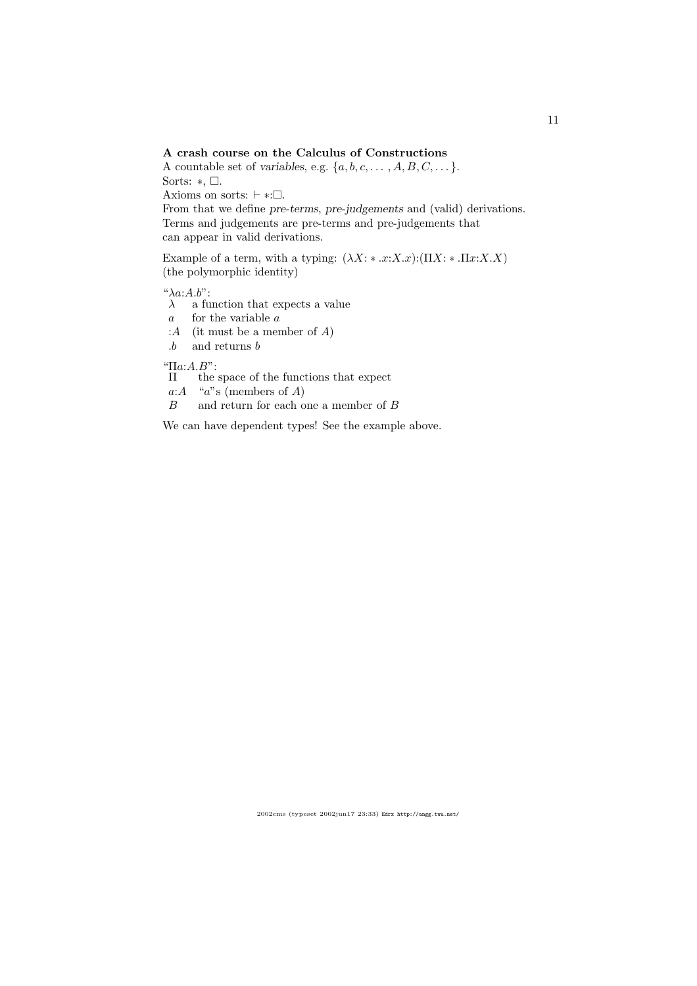#### A crash course on the Calculus of Constructions

A countable set of variables, e.g.  $\{a, b, c, \ldots, A, B, C, \ldots\}$ . Sorts:  $\ast$ ,  $\Box$ . Axioms on sorts:  $\vdash$  ∗: $\Box$ .

From that we define pre-terms, pre-judgements and (valid) derivations. Terms and judgements are pre-terms and pre-judgements that can appear in valid derivations.

Example of a term, with a typing:  $(\lambda X: * .x:X.x):(\Pi X: * .\Pi x:X.X)$ (the polymorphic identity)

 $"\lambda a:A.b"$ :

 $\lambda$  a function that expects a value

a for the variable a

: $A$  (it must be a member of  $A$ )

.b and returns b

"Πa:A.B":

Π the space of the functions that expect

a: $A$  "a"s (members of A)

B and return for each one a member of B

We can have dependent types! See the example above.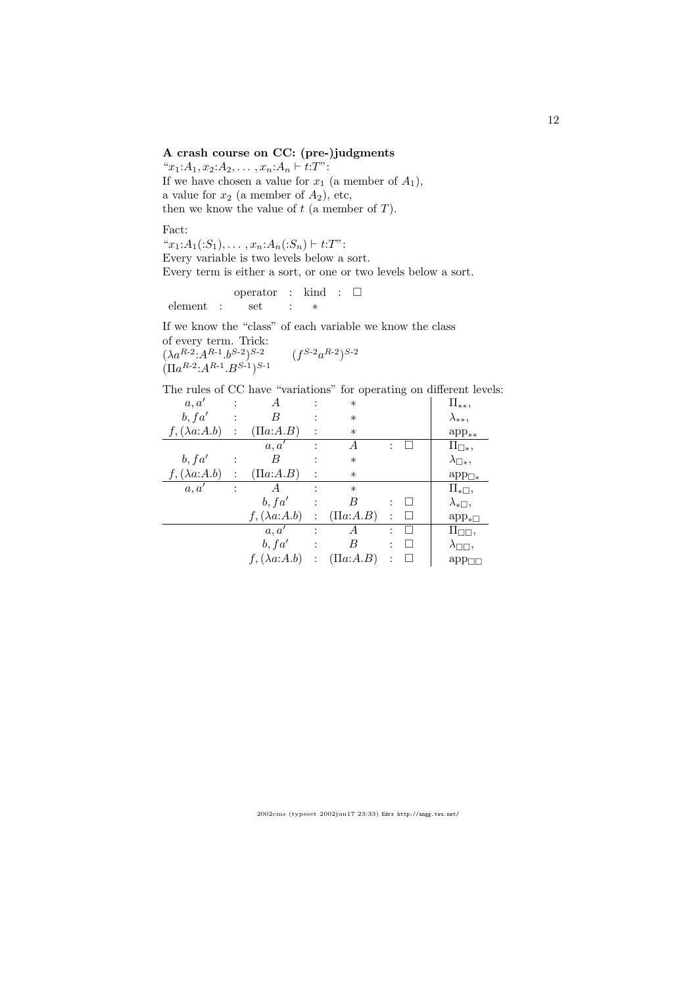## A crash course on CC: (pre-)judgments

" $x_1:A_1, x_2:A_2, \ldots, x_n:A_n \vdash t:T"$ : If we have chosen a value for  $x_1$  (a member of  $A_1$ ), a value for  $x_2$  (a member of  $A_2$ ), etc, then we know the value of  $t$  (a member of  $T$ ).

Fact:

" $x_1:A_1(.S_1),\ldots,x_n:A_n(.S_n)\vdash t:T$ ": Every variable is two levels below a sort. Every term is either a sort, or one or two levels below a sort.

$$
\begin{array}{lclclcl} & \text{operator} & : & \text{kind} & : & \square \\ \text{element} & : & \text{set} & : & * \end{array}
$$

If we know the "class" of each variable we know the class of every term. Trick:

 $(\lambda a^{R-2} \cdot A^{R-1} \cdot b^{S-2})^{S-2}$  (*f*  ${}^{S\text{-}2}a^{R\text{-}2})^{S\text{-}2}$  $(\Pi a^{R-2}$ : $A^{R-1}$ . $B^{S-1})^{S-1}$ 

The rules of CC have "variations" for operating on different levels:

| a, a'                |                | А                    |                | $\ast$         |         | $\Pi_{**},$                 |
|----------------------|----------------|----------------------|----------------|----------------|---------|-----------------------------|
| b, fa'               | $\ddot{\cdot}$ | В                    |                | $\ast$         |         | $\lambda_{**},$             |
| $f, (\lambda a:A.b)$ | $\ddot{\cdot}$ | $(\Pi a:A.B)$        |                | $\ast$         |         | $app_{**}$                  |
|                      |                | a, a'                |                | А              |         | $\Pi_{\Box *},$             |
| b, fa'               |                | В                    |                | $\ast$         |         | $\lambda_{\Box *},$         |
| $f, (\lambda a:A.b)$ | $\ddot{\cdot}$ | $(\Pi a:A.B)$        |                | $\ast$         |         | $\mathrm{app}_{\square *}$  |
| a, a'                | $\ddot{\cdot}$ | А                    |                | $\ast$         |         | $\Pi_{\ast \Box},$          |
|                      |                | b, fa'               | $\ddot{\cdot}$ | В              | $\Box$  | $\lambda_{\ast \Box},$      |
|                      |                | $f, (\lambda a:A.b)$ |                | $(\Pi a:A.B)$  | $\Box$  | $app_{\ast}$                |
|                      |                | a, a'                |                | А              |         | $\Pi_{\square\square},$     |
|                      |                | b, fa'               |                | В              | $\perp$ | $\lambda_{\square\square},$ |
|                      |                | $f, (\lambda a:A.b)$ |                | $( \Pi a:A.B)$ |         | $app_{\Box}$                |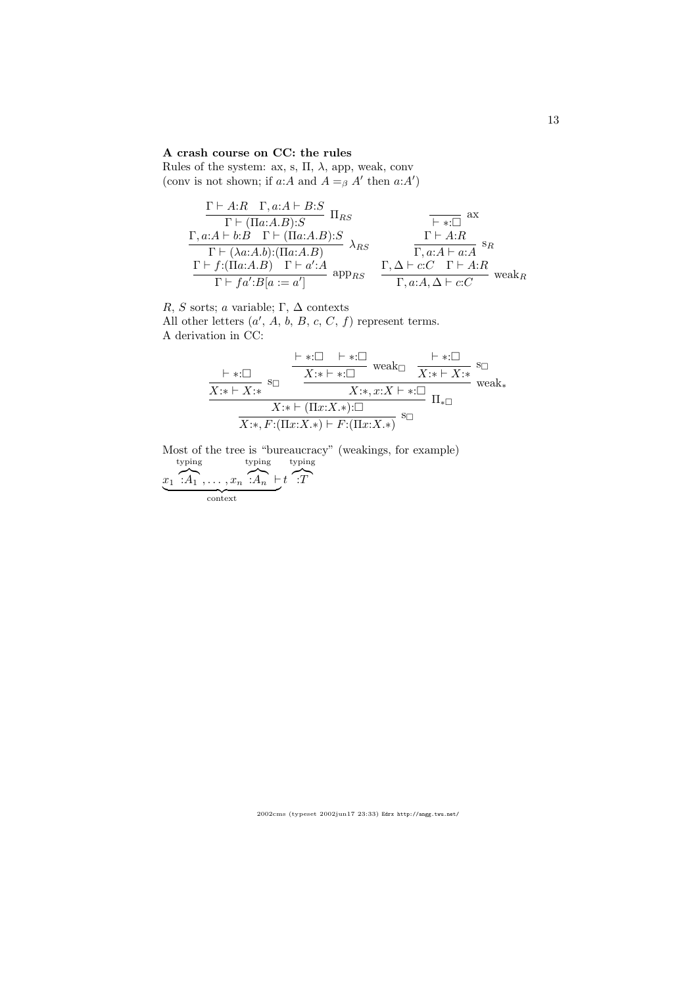## A crash course on CC: the rules

Rules of the system: ax, s,  $\Pi,$   $\lambda,$  app, weak, conv (conv is not shown; if a:A and  $A =_{\beta} A'$  then  $a:A'$ )

$$
\frac{\Gamma \vdash A:R \quad \Gamma, a:A \vdash B:S}{\Gamma \vdash (\Pi a:A.B):S} \quad \Pi_{RS} \qquad \qquad \overbrace{\qquad \qquad \vdash *:\square \atop \Gamma \vdash A:B}^{R \vdash A:B \quad \Gamma \vdash (\Pi a:A.B):S} \quad \overbrace{\qquad \qquad \qquad }^{\Gamma \vdash *:\square \atop \qquad \qquad }^{\Gamma \vdash A:B} \quad \overbrace{\qquad \qquad }^{\Gamma \vdash A:B}^{R \vdash A:B \quad \qquad }^{\Gamma \vdash A:B} \quad \overbrace{\qquad \qquad }^{\Gamma \vdash A:A \vdash a:A}^{S_R} \quad \overbrace{\qquad \qquad }^{\Gamma \vdash A:A \vdash a:A}^{S_R} \quad \overbrace{\qquad \qquad }^{\Gamma \vdash A:A \vdash a:A}^{S_R} \quad \overbrace{\qquad \qquad }^{\Gamma \vdash A:A \vdash a:A}^{S_R} \quad \overbrace{\qquad \qquad }^{\Gamma \vdash A:B}^{S_R} \quad \overbrace{\qquad \qquad }^{\Gamma \vdash A:B}^{S_R} \quad \overbrace{\qquad \qquad }^{\Gamma \vdash A:B}^{S_R} \quad \overbrace{\qquad \qquad }^{\Gamma \vdash A:B}^{S_R} \quad \overbrace{\qquad \qquad }^{\Gamma \vdash A:B}^{S_R} \quad \overbrace{\qquad \qquad }^{\Gamma \vdash A:B}^{S_R} \quad \overbrace{\qquad \qquad }^{\Gamma \vdash A:B}^{S_R} \quad \overbrace{\qquad \qquad }^{\Gamma \vdash A:B}^{S_R} \quad \overbrace{\qquad \qquad }^{\Gamma \vdash A:B}^{S_R} \quad \overbrace{\qquad \qquad }^{\Gamma \vdash A:B}^{S_R} \quad \overbrace{\qquad \qquad }^{\Gamma \vdash A:B}^{S_R} \quad \overbrace{\qquad \qquad }^{\Gamma \vdash A:B}^{S_R} \quad \overbrace{\qquad \qquad }^{\Gamma \vdash A:B}^{S_R} \quad \overbrace{\qquad \qquad }^{\Gamma \vdash A:B}^{S_R} \quad \overbrace{\qquad \qquad }^{\Gamma \vdash A:B}^{S_R} \quad \overbrace{\qquad \qquad }^{\Gamma \vdash A:B}^{S_R} \quad \overbrace{\qquad \qquad }^{\Gamma \vdash A:B}^{S_R} \quad \overbrace{\qquad \qquad }^{\Gamma \vdash A:B}^{S_R} \quad \overbrace{\q
$$

R, S sorts; a variable; Γ,  $\Delta$  contexts

All other letters  $(a', A, b, B, c, C, f)$  represent terms. A derivation in CC:

$$
\frac{\vdash *:\square \qquad \vdash *:\square \qquad \text{weak}\square \qquad \vdash *:\square \qquad}_{X:\ast \vdash X:\ast} \text{ s}_{\square} \qquad \frac{\vdash *:\square \qquad \text{weak}\square}{X:\ast \vdash *:\square \qquad \qquad X:\ast \vdash *:\square \qquad \qquad}_{X:\ast \vdash X:\ast} \text{ s}_{\square}}{\text{X}:\ast \vdash (\Pi x:X)*):\square \qquad \qquad \Pi_{*}\square \qquad \qquad \overbrace{X:\ast, F:(\Pi x:X*)\vdash F:(\Pi x:X*)} \text{ s}_{\square} \qquad \qquad \bot
$$

Most of the tree is "bureaucracy" (weakings, for example)  $\overline{x}_1$ typing  $: A_1, \ldots, x_n$ typing  $\overbrace{:A_n}$  ⊢ t typing  $\sum_{i}$ 

ext context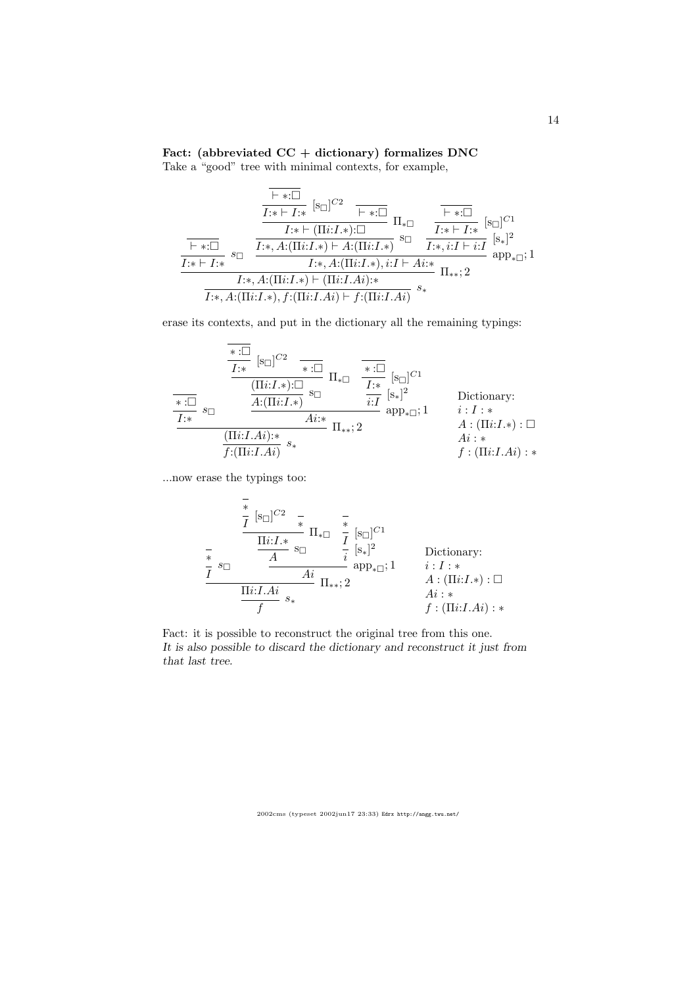## Fact: (abbreviated CC + dictionary) formalizes DNC

Take a "good" tree with minimal contexts, for example,

$$
\frac{\frac{\overline{\mathsf{I}*\mathsf{I}!}}{I:\ast\mathsf{I}:\ast} \ [\mathsf{s}_{\Box}]^{C2}}{\frac{\overline{I:\ast\mathsf{I}!}\ [\mathsf{F}_{\Box}]\ [1]\ast\mathsf{I}}{\mathsf{I}:\ast\mathsf{I}:\mathsf{I}:\ast\mathsf{I}:\mathsf{I}}}\ \Pi_{*\Box}\ \frac{\overline{\mathsf{I}*\mathsf{I}!}\ [\mathsf{s}_{\Box}]^{C1}}{I:\ast\mathsf{I}:\ast\mathsf{I}:\ast}}{\frac{\overline{I:\ast\mathsf{I}!}\ [\mathsf{s}_{\Box}]\ [1]\ast\mathsf{I}:\ast}}{\frac{\overline{I:\ast\mathsf{I}!}\ [\mathsf{s}_{\Box}]\ [1]\ast\mathsf{I}:\ast}}\ \mathsf{s}_{\Box}\ \frac{\overline{I:\ast\mathsf{I}!}\ [\mathsf{S}_{\Box}]\ [1]\ast}}{I:\ast,A:(\Pi i:I,\ast)\mathsf{I}:\mathsf{I}:\ast,A:(\Pi i:I,\ast),i:I\mathsf{I}:\mathsf{A}i:\ast}}{\frac{I:\ast,A:(\Pi i:I,\ast)\mathsf{I}:\Pi i:I,Ai):\ast}}{\Pi_{**};2}
$$

erase its contexts, and put in the dictionary all the remaining typings:

$$
\frac{\overbrace{\mathbf{H}:\Box}_{\mathbf{H}:\Box} \left[s_{\Box}\right]^{C2} \quad \overbrace{\mathbf{H}:\Box \atop \mathbf{H}:\Box} \prod_{\mathbf{H} \in \Box} \overbrace{\mathbf{H}:\Box \atop \mathbf{H}:\Box} \prod_{\mathbf{H} \in \Box} \overbrace{\mathbf{H}:\Box \atop \mathbf{H}:\Box}^{* \cdot \Box} \left[s_{\Box}\right]^{C1}
$$
\n
$$
\frac{\overbrace{\mathbf{H}:\Box}_{\mathbf{H}:\Box} s_{\Box}}{\mathbf{H}:\Diamond} \quad \overbrace{\mathbf{H}:\Box_{\mathbf{H}:\Box}^{*}}^{* \cdot \Box} \left[s_{\Box}\right]^{C1}
$$
\n
$$
\frac{\overbrace{\mathbf{H}:\Box}_{\mathbf{H}:\Box} s_{\Box}}^{* \cdot \Box} \prod_{\mathbf{H}:\Box_{\mathbf{H}:\Box}^{*}}^{* \cdot \Box} \left[s_{\Box}\right]^{C2}
$$
\n
$$
\frac{\overbrace{\mathbf{H}:\Box}_{\mathbf{H}:\Box}_{\mathbf{H}:\Box} s_{\Box}}^{* \cdot \Box} \prod_{\mathbf{H}:\Box_{\mathbf{H}:\Box}^{*}}^{* \cdot \Box} \prod_{\mathbf{H}:\Box_{\mathbf{H}:\Box}^{*}}^{* \cdot \Box} \prod_{\mathbf{H}:\Box_{\mathbf{H}:\Box}^{*}:\Box}^{* \cdot \Box} \prod_{\mathbf{H}:\Box_{\mathbf{H}:\Box}^{*}:\Box}^{* \cdot \Box} \prod_{\mathbf{H}:\Box_{\mathbf{H}:\Box}^{*}:\Box}^{* \cdot \Box} \prod_{\mathbf{H}:\Box_{\mathbf{H}:\Box}^{*}:\Box}^{* \cdot \Box} \prod_{\mathbf{H}:\Box_{\mathbf{H}:\Box}^{*}:\Box}^{* \cdot \Box} \prod_{\mathbf{H}:\Box_{\mathbf{H}:\Box}^{*}:\Box}^{* \cdot \Box} \prod_{\mathbf{H}:\Box_{\mathbf{H}:\Box}^{*}:\Box}^{* \cdot \Box} \prod_{\mathbf{H}:\Box_{\mathbf{H}:\Box}^{*}:\Box}^{* \cdot \Box} \prod_{\mathbf{H}:\Box_{\mathbf{H}:\Box}^{*}:\Box}^{* \cdot \Box} \prod_{\mathbf{
$$

...now erase the typings too:

$$
\frac{\frac{1}{I} \left[s_{\Box}\right]^{C2} \quad \frac{1}{I} \quad \frac{1}{I} \quad \frac{1}{I} \quad \frac{1}{I} \quad \frac{1}{I} \quad \frac{1}{I} \quad \frac{1}{I} \quad \frac{1}{I} \quad \frac{1}{I} \quad \frac{1}{I} \quad \frac{1}{I} \quad \frac{1}{I} \quad \frac{1}{I} \quad \frac{1}{I} \quad \frac{1}{I} \quad \frac{1}{I} \quad \frac{1}{I} \quad \frac{1}{I} \quad \frac{1}{I} \quad \frac{1}{I} \quad \frac{1}{I} \quad \frac{1}{I} \quad \frac{1}{I} \quad \frac{1}{I} \quad \frac{1}{I} \quad \frac{1}{I} \quad \frac{1}{I} \quad \frac{1}{I} \quad \frac{1}{I} \quad \frac{1}{I} \quad \frac{1}{I} \quad \frac{1}{I} \quad \frac{1}{I} \quad \frac{1}{I} \quad \frac{1}{I} \quad \frac{1}{I} \quad \frac{1}{I} \quad \frac{1}{I} \quad \frac{1}{I} \quad \frac{1}{I} \quad \frac{1}{I} \quad \frac{1}{I} \quad \frac{1}{I} \quad \frac{1}{I} \quad \frac{1}{I} \quad \frac{1}{I} \quad \frac{1}{I} \quad \frac{1}{I} \quad \frac{1}{I} \quad \frac{1}{I} \quad \frac{1}{I} \quad \frac{1}{I} \quad \frac{1}{I} \quad \frac{1}{I} \quad \frac{1}{I} \quad \frac{1}{I} \quad \frac{1}{I} \quad \frac{1}{I} \quad \frac{1}{I} \quad \frac{1}{I} \quad \frac{1}{I} \quad \frac{1}{I} \quad \frac{1}{I} \quad \frac{1}{I} \quad \frac{1}{I} \quad \frac{1}{I} \quad \frac{1}{I} \quad \frac{1}{I} \quad \frac{1}{I} \quad \frac{1}{I} \quad \frac{1}{I} \quad \frac{1}{I} \quad \frac{1}{I} \quad \frac{1}{I} \quad \frac{1}{I} \quad \frac{1}{I} \quad \frac{1}{I} \quad \frac{1}{I} \quad \frac{1}{I} \quad \frac{1}{I} \quad \frac{1}{I} \quad \frac{1}{I}
$$

Fact: it is possible to reconstruct the original tree from this one. It is also possible to discard the dictionary and reconstruct it just from that last tree.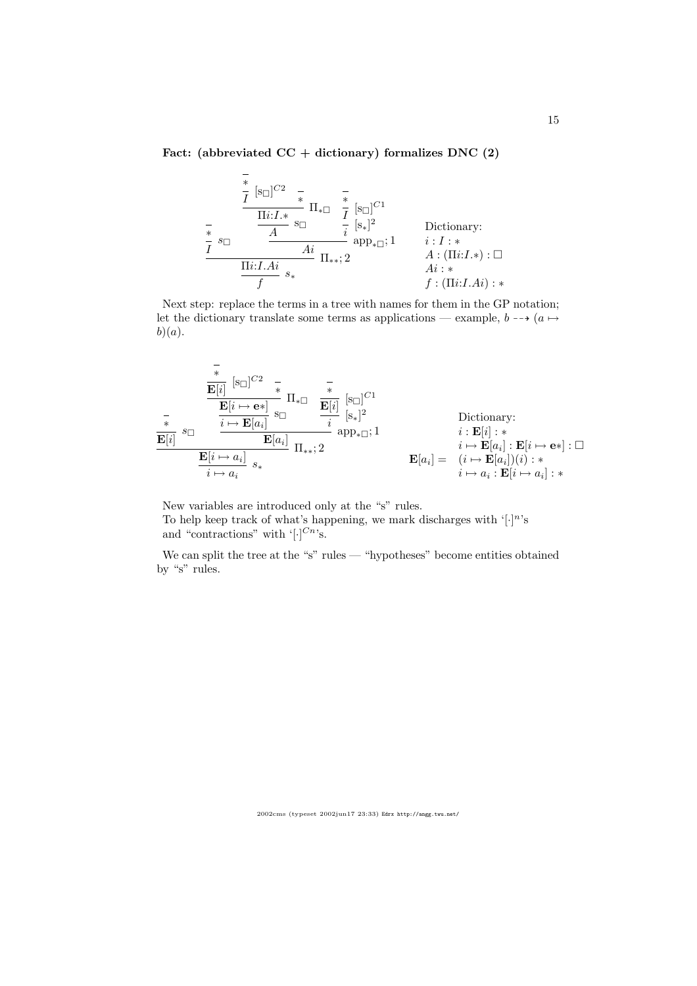## Fact: (abbreviated  $CC + dictionary$ ) formalizes DNC (2)

$$
\frac{\frac{1}{t} \left[s_{\Box}\right]^{C2} \quad \frac{1}{t} \prod_{\substack{i=1, k \ \infty}}^{t} \prod_{\substack{s \in \Box}}^{s} \frac{1}{t} \left[s_{\Box}\right]^{C1}}{\frac{1}{t} \left[s_{\Box}\right]^{2}}
$$
\nDictionary:  
\n
$$
\frac{\frac{1}{t} \cdot s_{\Box}}{\frac{1}{t} \cdot s_{\Box}} \prod_{\substack{i=1, k \ \infty}}^{s} \prod_{\substack{s \in \Box}}^{s} \prod_{\substack{s \in \Box}}^{s} \prod_{\substack{i=1, k \ \in \Box}}^{s} \prod_{\substack{i=1, k \ \in \Box}}^{s} \prod_{\substack{i=1, k \ \in \Box}}^{s} \prod_{\substack{i=1, k \ \in \Box}}^{s} \prod_{\substack{i=1, k \ \in \Box}}^{s} \prod_{\substack{i=1, k \ \in \Box}}^{s} \prod_{\substack{i=1, k \ \in \Box}}^{s} \prod_{\substack{i=1, k \ \in \Box}}^{s} \prod_{\substack{i=1, k \ \in \Box}}^{s} \prod_{\substack{i=1, k \ \in \Box}}^{s} \prod_{\substack{i=1, k \ \in \Box}}^{s} \prod_{\substack{i=1, k \ \in \Box}}^{s} \prod_{\substack{i=1, k \ \in \Box}}^{s} \prod_{\substack{i=1, k \ \in \Box}}^{s} \prod_{\substack{i=1, k \ \in \Box}}^{s} \prod_{\substack{i=1, k \ \in \Box}}^{s} \prod_{\substack{i=1, k \ \in \Box}}^{s} \prod_{\substack{i=1, k \ \in \Box}}^{s} \prod_{\substack{i=1, k \ \in \Box}}^{s} \prod_{\substack{i=1, k \ \in \Box}}^{s} \prod_{\substack{i=1, k \ \in \Box}}^{s} \prod_{\substack{i=1, k \ \in \Box}}^{s} \prod_{\substack{i=1, k \ \in \Box}}^{s} \prod_{\substack{i=1, k \ \in \Box}}^{s} \prod_{\substack{i=1, k \ \in \Box}}^{s} \prod_{\substack{i=1, k \ \in \Box}}^{s} \prod_{\substack{i=1, k \ \in \Box}}^{s} \prod_{\substack{i=1, k \ \in \Box}}^{s} \prod
$$

Next step: replace the terms in a tree with names for them in the GP notation; let the dictionary translate some terms as applications — example,  $b \rightarrow (a \rightarrow b)$  $b)(a).$ 

$$
\frac{\mathbf{E}[i] \quad [\mathbf{s}_{\square}]^{C2} \quad \mathbf{F}}{\mathbf{E}[i \mapsto \mathbf{e}^*]} \prod_{\substack{\mathbf{s}_{\square} \\ \mathbf{E}[i] \\ \mathbf{E}[i]}} \mathbf{s}_{\square} \qquad \frac{\mathbf{E}[i \mapsto \mathbf{e}^*]}{\mathbf{E}[a_i]} \prod_{\substack{\mathbf{s}_{\square} \\ \mathbf{E}[i] \\ \mathbf{E}[i] \\ \mathbf{E}[i \mapsto a_i]}} \prod_{\substack{\mathbf{s}_{\square} \\ \mathbf{E}[i] \\ \mathbf{E}[i] \\ \mathbf{s}_{\star}}} \prod_{\substack{\mathbf{s}_{\square} \\ \mathbf{E}[i] \\ \mathbf{E}[i] \\ \mathbf{s}_{\star}}} \prod_{\substack{\mathbf{s}_{\square} \\ \mathbf{E}[i] \\ \mathbf{E}[i] \\ \mathbf{s}_{\star}}} \prod_{\substack{\mathbf{s}_{\square} \\ \mathbf{E}[i] \\ \mathbf{s}_{\star} \\ \mathbf{E}[i] \\ \mathbf{s}_{\star}}} \prod_{\substack{\mathbf{s}_{\square} \\ \mathbf{E}[i] \\ \mathbf{s}_{\star} \\ \mathbf{s}_{\star}}} \prod_{\substack{\mathbf{s}_{\square} \\ \mathbf{E}[i] \\ \mathbf{s}_{\star} \\ \mathbf{s}_{\star}}} \prod_{\substack{\mathbf{s}_{\square} \\ \mathbf{E}[i] \\ \mathbf{s}_{\star} \\ \mathbf{s}_{\star}}} \prod_{\substack{\mathbf{s}_{\square} \\ \mathbf{E}[i] \\ \mathbf{s}_{\star} \\ \mathbf{s}_{\star}}} \prod_{\substack{\mathbf{s}_{\square} \\ \mathbf{E}[i] \\ \mathbf{s}_{\star} \\ \mathbf{s}_{\star}}} \prod_{\substack{\mathbf{s}_{\square} \\ \mathbf{E}[i] \\ \mathbf{s}_{\star}}} \prod_{\substack{\mathbf{s}_{\square} \\ \mathbf{s}_{\star}}} \prod_{\substack{\mathbf{s}_{\square} \\ \mathbf{s}_{\star}}} \prod_{\substack{\mathbf{s}_{\square} \\ \mathbf{s}_{\star}}} \prod_{\substack{\mathbf{s}_{\square} \\ \mathbf{s}_{\star}}} \prod_{\substack{\mathbf{s}_{\square} \\ \mathbf{s}_{\star}}} \prod_{\substack{\mathbf{s}_{\square} \\ \mathbf{s}_{\square} \\ \mathbf{s}_{\star}}} \prod_{\substack{\mathbf{s}_{\square} \\ \mathbf{s}_{\star}}} \prod_{\substack{\math
$$

New variables are introduced only at the "s" rules. To help keep track of what's happening, we mark discharges with  $\lceil \cdot \rceil^n$ 's and "contractions" with  $\lbrack \cdot \rbrack^{Cn}$ 's.

We can split the tree at the "s" rules — "hypotheses" become entities obtained by "s" rules.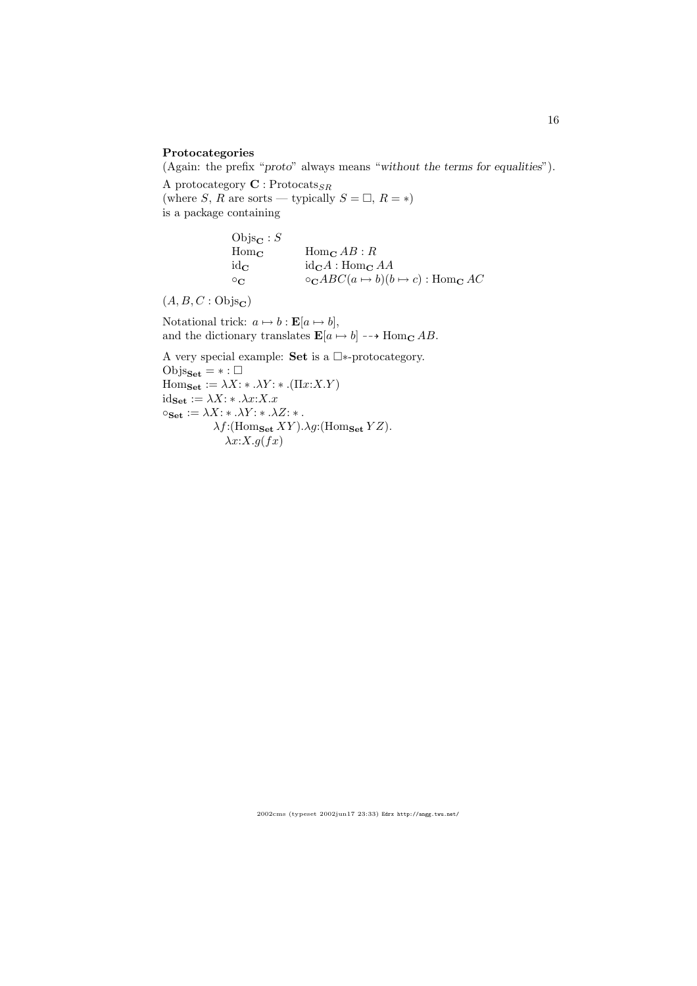#### Protocategories

(Again: the prefix "proto" always means "without the terms for equalities").

A protocategory  $\mathbf{C}:\mathsf{Protocats}_{SR}$ (where S, R are sorts — typically  $S = \Box$ ,  $R = *$ ) is a package containing

> $\mathrm{Objs}_\mathbf{C} : S$  $\text{Hom}_{\mathbf{C}}$   $\text{Hom}_{\mathbf{C}}$   $AB:R$  $id_{\mathbf{C}}$   $id_{\mathbf{C}}A : Hom_{\mathbf{C}}AA$  $\circ_{\mathbf{C}}$   $\circ_{\mathbf{C}} ABC(a \mapsto b)(b \mapsto c)$  : Hom<sub>c</sub> AC

 $(A, B, C : \mathrm{Objs}_{\mathbf{C}})$ 

Notational trick:  $a \mapsto b : \mathbf{E}[a \mapsto b],$ and the dictionary translates  $\mathbf{E}[a \mapsto b] \dashrightarrow \text{Hom}_{\mathbf{C}} AB$ .

A very special example: Set is a  $\square*$ -protocategory.  $\text{Objs}_{\textbf{Set}} = * : \square$  $\text{Hom}_{\textbf{Set}} := \lambda X: * \lambda Y: * .(\Pi x: X.Y)$  $id_{\mathbf{Set}} := \lambda X: * \ldots \lambda x: X.x$  $\circ_{\mathbf{Set}} := \lambda X: * \ldots X: * \ldots X:$  $\lambda f$ :(Homset XY). $\lambda g$ :(Homset YZ).  $\lambda x:X.g(fx)$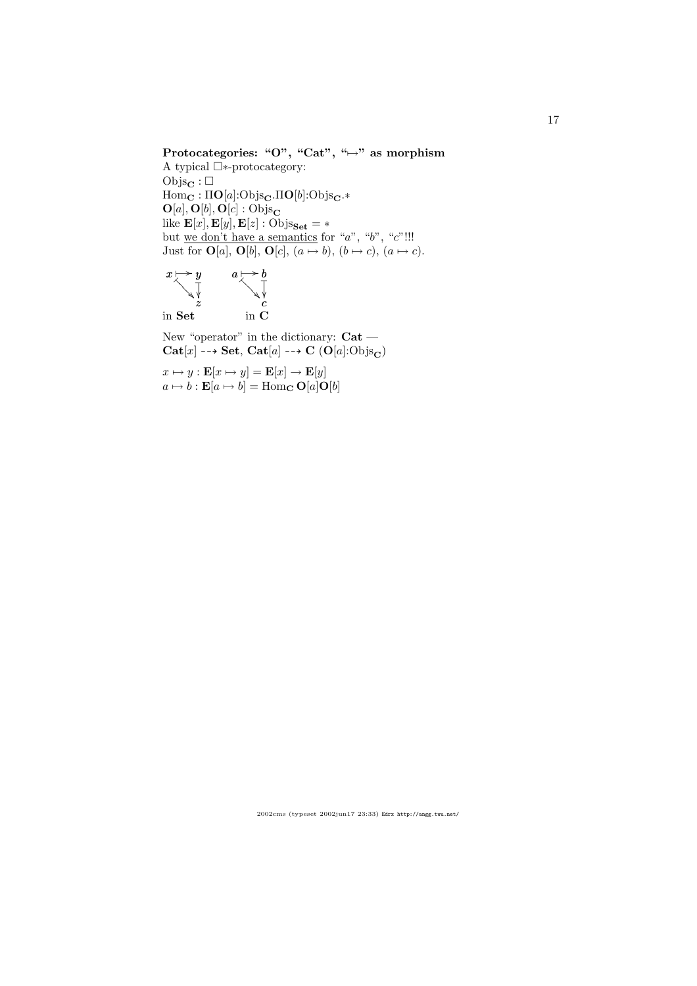## Protocategories: "O", "Cat", " $\mapsto$ " as morphism

A typical  $\square*$ -protocategory:  $\mathrm{Objs}_\mathbf{C} : \square$  $\text{Hom}_{\mathbf{C}} : \Pi \mathbf{O}[a] : \text{Objs}_{\mathbf{C}}.\Pi \mathbf{O}[b] : \text{Objs}_{\mathbf{C}}.*$  $O[a], O[b], O[c] : \overline{Objs}_{\mathbf{C}}$ like  $\mathbf{E}[x], \mathbf{E}[y], \mathbf{E}[z]$  : Objs $_{\mathbf{Set}} = *$ but we don't have a semantics for "a", "b", " $c$ "!!! Just for  $\mathbf{O}[a], \mathbf{O}[b], \mathbf{O}[c], (a \mapsto b), (b \mapsto c), (a \mapsto c).$ 



New "operator" in the dictionary:  $Cat Cat[x] \dashrightarrow Set, Cat[a] \dashrightarrow C (O[a]:Objs_{\mathbf{C}})$ 

 $x \mapsto y : \mathbf{E}[x \mapsto y] = \mathbf{E}[x] \to \mathbf{E}[y]$  $a \mapsto b : \mathbf{E}[a \mapsto b] = \text{Hom}_{\mathbf{C}} \mathbf{O}[a] \mathbf{O}[b]$